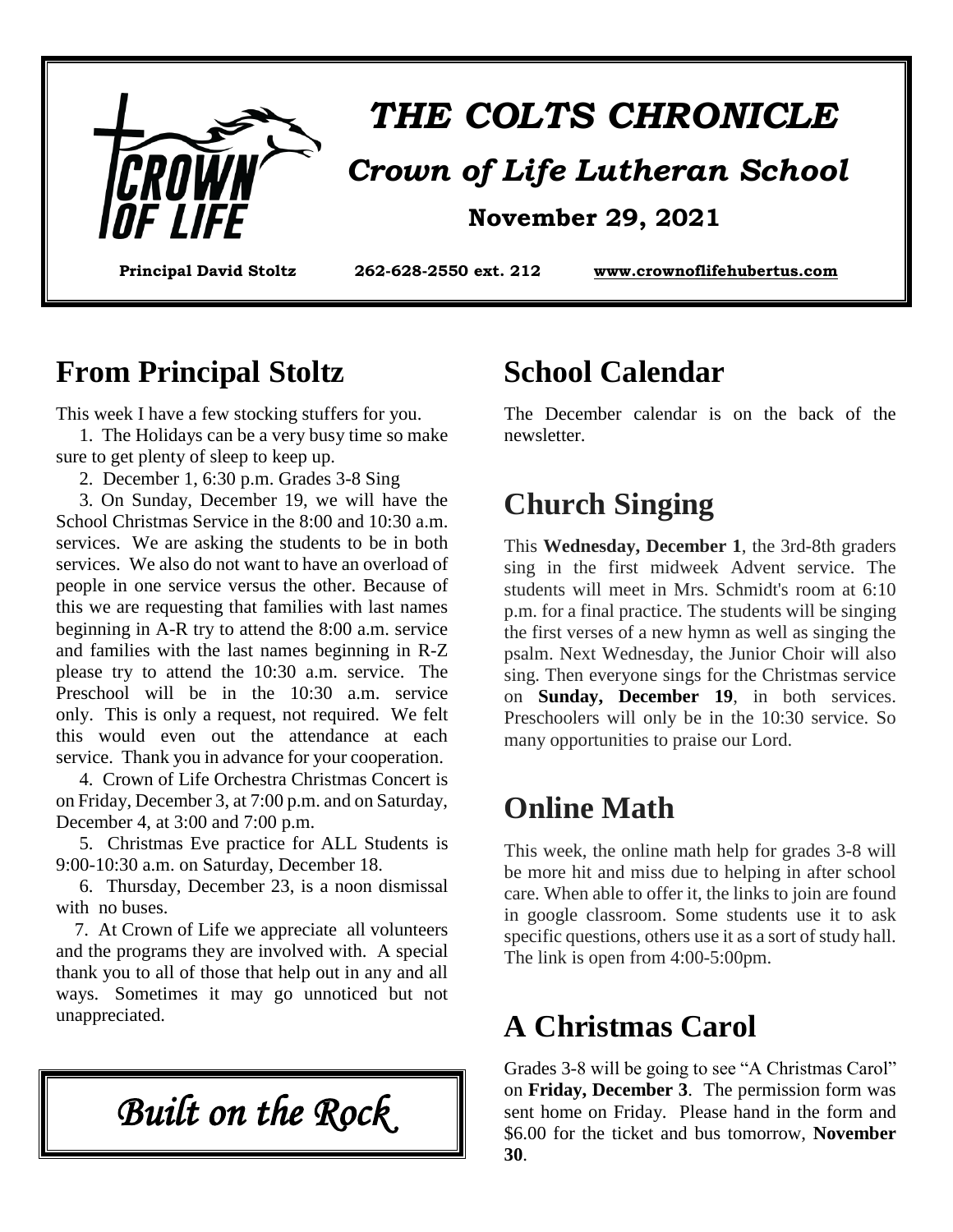

# *THE COLTS CHRONICLE Crown of Life Lutheran School*  **November 29, 2021**

**Principal David Stoltz 262-628-2550 ext. 212 www.crownoflifehubertus.com**

#### **From Principal Stoltz**

This week I have a few stocking stuffers for you.

 1. The Holidays can be a very busy time so make sure to get plenty of sleep to keep up.

2. December 1, 6:30 p.m. Grades 3-8 Sing

 3. On Sunday, December 19, we will have the School Christmas Service in the 8:00 and 10:30 a.m. services. We are asking the students to be in both services. We also do not want to have an overload of people in one service versus the other. Because of this we are requesting that families with last names beginning in A-R try to attend the 8:00 a.m. service and families with the last names beginning in R-Z please try to attend the 10:30 a.m. service. The Preschool will be in the 10:30 a.m. service only. This is only a request, not required. We felt this would even out the attendance at each service. Thank you in advance for your cooperation.

 4. Crown of Life Orchestra Christmas Concert is on Friday, December 3, at 7:00 p.m. and on Saturday, December 4, at 3:00 and 7:00 p.m.

 5. Christmas Eve practice for ALL Students is 9:00-10:30 a.m. on Saturday, December 18.

 6. Thursday, December 23, is a noon dismissal with no buses.

 7. At Crown of Life we appreciate all volunteers and the programs they are involved with. A special thank you to all of those that help out in any and all ways. Sometimes it may go unnoticed but not unappreciated.

*Built on the Rock* 

#### **School Calendar**

The December calendar is on the back of the newsletter.

#### **Church Singing**

This **Wednesday, December 1**, the 3rd-8th graders sing in the first midweek Advent service. The students will meet in Mrs. Schmidt's room at 6:10 p.m. for a final practice. The students will be singing the first verses of a new hymn as well as singing the psalm. Next Wednesday, the Junior Choir will also sing. Then everyone sings for the Christmas service on **Sunday, December 19**, in both services. Preschoolers will only be in the 10:30 service. So many opportunities to praise our Lord.

#### **Online Math**

This week, the online math help for grades 3-8 will be more hit and miss due to helping in after school care. When able to offer it, the links to join are found in google classroom. Some students use it to ask specific questions, others use it as a sort of study hall. The link is open from 4:00-5:00pm.

#### **A Christmas Carol**

Grades 3-8 will be going to see "A Christmas Carol" on **Friday, December 3**. The permission form was sent home on Friday. Please hand in the form and \$6.00 for the ticket and bus tomorrow, **November 30**.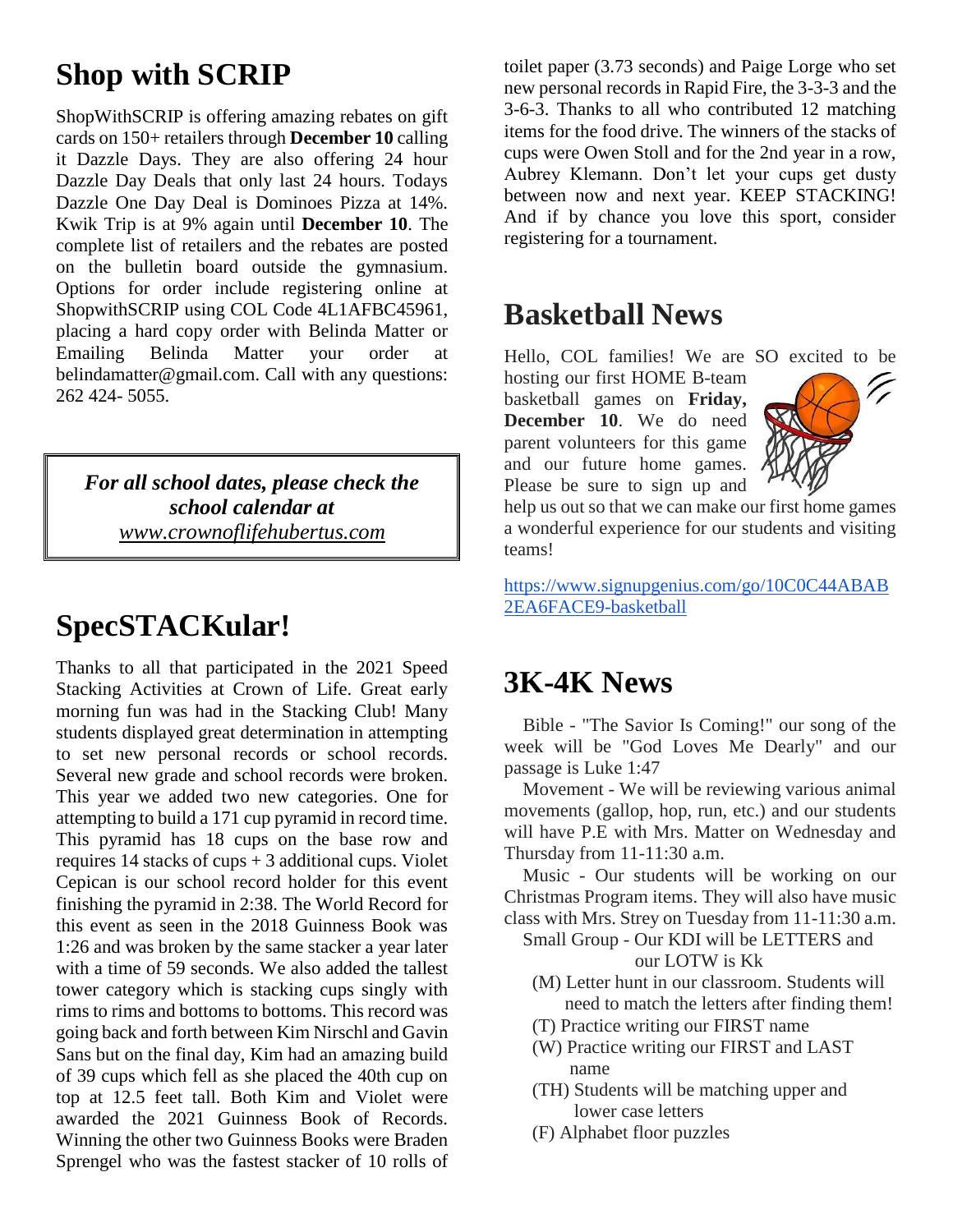## **Shop with SCRIP**

ShopWithSCRIP is offering amazing rebates on gift cards on 150+ retailers through **December 10** calling it Dazzle Days. They are also offering 24 hour Dazzle Day Deals that only last 24 hours. Todays Dazzle One Day Deal is Dominoes Pizza at 14%. Kwik Trip is at 9% again until **December 10**. The complete list of retailers and the rebates are posted on the bulletin board outside the gymnasium. Options for order include registering online at ShopwithSCRIP using COL Code 4L1AFBC45961, placing a hard copy order with Belinda Matter or Emailing Belinda Matter your order belindamatter@gmail.com. Call with any questions: 262 424- 5055.

*For all school dates, please check the school calendar at www.crownoflifehubertus.com*

# **SpecSTACKular!**

Thanks to all that participated in the 2021 Speed Stacking Activities at Crown of Life. Great early morning fun was had in the Stacking Club! Many students displayed great determination in attempting to set new personal records or school records. Several new grade and school records were broken. This year we added two new categories. One for attempting to build a 171 cup pyramid in record time. This pyramid has 18 cups on the base row and requires  $14$  stacks of cups  $+ 3$  additional cups. Violet Cepican is our school record holder for this event finishing the pyramid in 2:38. The World Record for this event as seen in the 2018 Guinness Book was 1:26 and was broken by the same stacker a year later with a time of 59 seconds. We also added the tallest tower category which is stacking cups singly with rims to rims and bottoms to bottoms. This record was going back and forth between Kim Nirschl and Gavin Sans but on the final day, Kim had an amazing build of 39 cups which fell as she placed the 40th cup on top at 12.5 feet tall. Both Kim and Violet were awarded the 2021 Guinness Book of Records. Winning the other two Guinness Books were Braden Sprengel who was the fastest stacker of 10 rolls of

toilet paper (3.73 seconds) and Paige Lorge who set new personal records in Rapid Fire, the 3-3-3 and the 3-6-3. Thanks to all who contributed 12 matching items for the food drive. The winners of the stacks of cups were Owen Stoll and for the 2nd year in a row, Aubrey Klemann. Don't let your cups get dusty between now and next year. KEEP STACKING! And if by chance you love this sport, consider registering for a tournament.

#### **Basketball News**

Hello, COL families! We are SO excited to be hosting our first HOME B-team basketball games on **Friday, December 10**. We do need parent volunteers for this game and our future home games. Please be sure to sign up and



help us out so that we can make our first home games a wonderful experience for our students and visiting teams!

https://www.signupgenius.com/go/10C0C44ABAB 2EA6FACE9-basketball

#### **3K-4K News**

Bible - "The Savior Is Coming!" our song of the week will be "God Loves Me Dearly" and our passage is Luke 1:47

 Movement - We will be reviewing various animal movements (gallop, hop, run, etc.) and our students will have P.E with Mrs. Matter on Wednesday and Thursday from 11-11:30 a.m.

 Music - Our students will be working on our Christmas Program items. They will also have music class with Mrs. Strey on Tuesday from 11-11:30 a.m.

- Small Group Our KDI will be LETTERS and our LOTW is Kk
	- (M) Letter hunt in our classroom. Students will need to match the letters after finding them!
	- (T) Practice writing our FIRST name
	- (W) Practice writing our FIRST and LAST name
	- (TH) Students will be matching upper and lower case letters
	- (F) Alphabet floor puzzles